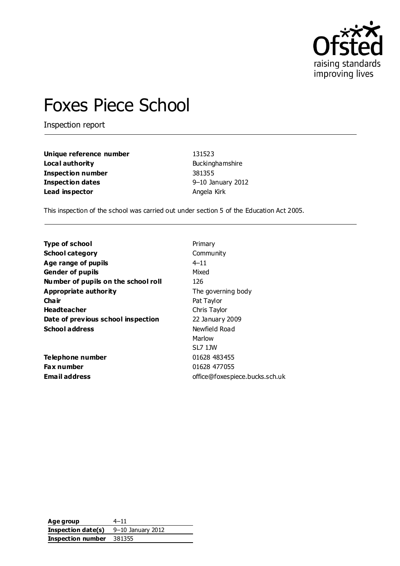

# Foxes Piece School

Inspection report

| Unique reference number | 131523            |  |
|-------------------------|-------------------|--|
| Local authority         | Buckinghamshire   |  |
| Inspection number       | 381355            |  |
| Inspection dates        | 9-10 January 2012 |  |
| Lead inspector          | Angela Kirk       |  |

This inspection of the school was carried out under section 5 of the Education Act 2005.

| <b>Type of school</b>               | Primary                        |
|-------------------------------------|--------------------------------|
| <b>School category</b>              | Community                      |
| Age range of pupils                 | $4 - 11$                       |
| <b>Gender of pupils</b>             | Mixed                          |
| Number of pupils on the school roll | 126                            |
| Appropriate authority               | The governing body             |
| Cha ir                              | Pat Taylor                     |
| <b>Headteacher</b>                  | Chris Taylor                   |
| Date of previous school inspection  | 22 January 2009                |
| <b>School address</b>               | Newfield Road                  |
|                                     | Marlow                         |
|                                     | SL7 1JW                        |
| Telephone number                    | 01628 483455                   |
| <b>Fax number</b>                   | 01628 477055                   |
| Email address                       | office@foxespiece.bucks.sch.uk |
|                                     |                                |

**Age group** 4–11 **Inspection date(s)** 9–10 January 2012 **Inspection number** 381355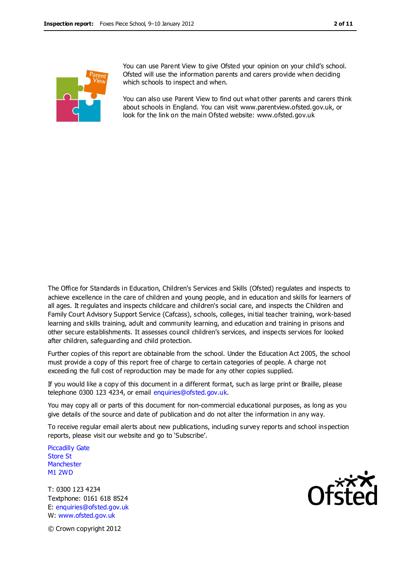

You can use Parent View to give Ofsted your opinion on your child's school. Ofsted will use the information parents and carers provide when deciding which schools to inspect and when.

You can also use Parent View to find out what other parents and carers think about schools in England. You can visit www.parentview.ofsted.gov.uk, or look for the link on the main Ofsted website: www.ofsted.gov.uk

The Office for Standards in Education, Children's Services and Skills (Ofsted) regulates and inspects to achieve excellence in the care of children and young people, and in education and skills for learners of all ages. It regulates and inspects childcare and children's social care, and inspects the Children and Family Court Advisory Support Service (Cafcass), schools, colleges, initial teacher training, work-based learning and skills training, adult and community learning, and education and training in prisons and other secure establishments. It assesses council children's services, and inspects services for looked after children, safeguarding and child protection.

Further copies of this report are obtainable from the school. Under the Education Act 2005, the school must provide a copy of this report free of charge to certain categories of people. A charge not exceeding the full cost of reproduction may be made for any other copies supplied.

If you would like a copy of this document in a different format, such as large print or Braille, please telephone 0300 123 4234, or email enquiries@ofsted.gov.uk.

You may copy all or parts of this document for non-commercial educational purposes, as long as you give details of the source and date of publication and do not alter the information in any way.

To receive regular email alerts about new publications, including survey reports and school inspection reports, please visit our website and go to 'Subscribe'.

Piccadilly Gate Store St **Manchester** M1 2WD

T: 0300 123 4234 Textphone: 0161 618 8524 E: enquiries@ofsted.gov.uk W: www.ofsted.gov.uk



© Crown copyright 2012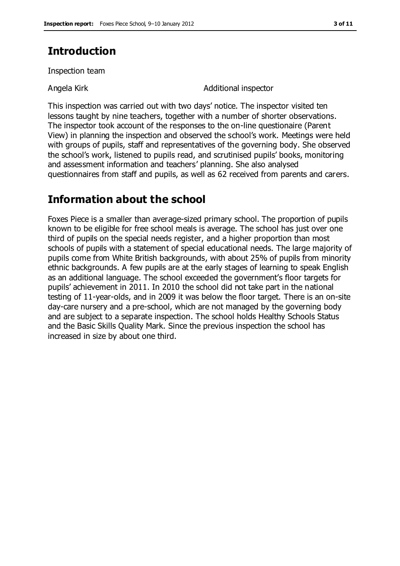### **Introduction**

Inspection team

Angela Kirk **Angela Kirk** Angela Kirk **Additional** inspector

This inspection was carried out with two days' notice. The inspector visited ten lessons taught by nine teachers, together with a number of shorter observations. The inspector took account of the responses to the on-line questionaire (Parent View) in planning the inspection and observed the school's work. Meetings were held with groups of pupils, staff and representatives of the governing body. She observed the school's work, listened to pupils read, and scrutinised pupils' books, monitoring and assessment information and teachers' planning. She also analysed questionnaires from staff and pupils, as well as 62 received from parents and carers.

### **Information about the school**

Foxes Piece is a smaller than average-sized primary school. The proportion of pupils known to be eligible for free school meals is average. The school has just over one third of pupils on the special needs register, and a higher proportion than most schools of pupils with a statement of special educational needs. The large majority of pupils come from White British backgrounds, with about 25% of pupils from minority ethnic backgrounds. A few pupils are at the early stages of learning to speak English as an additional language. The school exceeded the government's floor targets for pupils' achievement in 2011. In 2010 the school did not take part in the national testing of 11-year-olds, and in 2009 it was below the floor target. There is an on-site day-care nursery and a pre-school, which are not managed by the governing body and are subject to a separate inspection. The school holds Healthy Schools Status and the Basic Skills Quality Mark. Since the previous inspection the school has increased in size by about one third.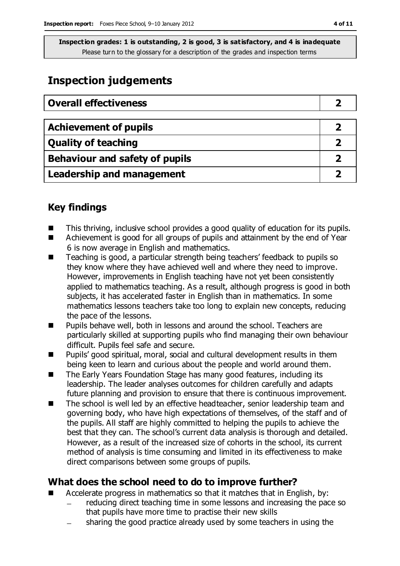# **Inspection judgements**

| <b>Overall effectiveness</b>     |  |
|----------------------------------|--|
|                                  |  |
| <b>Achievement of pupils</b>     |  |
| <b>Quality of teaching</b>       |  |
| Behaviour and safety of pupils   |  |
| <b>Leadership and management</b> |  |

### **Key findings**

- This thriving, inclusive school provides a good quality of education for its pupils.
- Achievement is good for all groups of pupils and attainment by the end of Year 6 is now average in English and mathematics.
- Teaching is good, a particular strength being teachers' feedback to pupils so they know where they have achieved well and where they need to improve. However, improvements in English teaching have not yet been consistently applied to mathematics teaching. As a result, although progress is good in both subjects, it has accelerated faster in English than in mathematics. In some mathematics lessons teachers take too long to explain new concepts, reducing the pace of the lessons.
- Pupils behave well, both in lessons and around the school. Teachers are particularly skilled at supporting pupils who find managing their own behaviour difficult. Pupils feel safe and secure.
- Pupils' good spiritual, moral, social and cultural development results in them being keen to learn and curious about the people and world around them.
- The Early Years Foundation Stage has many good features, including its leadership. The leader analyses outcomes for children carefully and adapts future planning and provision to ensure that there is continuous improvement.
- The school is well led by an effective headteacher, senior leadership team and governing body, who have high expectations of themselves, of the staff and of the pupils. All staff are highly committed to helping the pupils to achieve the best that they can. The school's current data analysis is thorough and detailed. However, as a result of the increased size of cohorts in the school, its current method of analysis is time consuming and limited in its effectiveness to make direct comparisons between some groups of pupils.

### **What does the school need to do to improve further?**

- Accelerate progress in mathematics so that it matches that in English, by:
	- reducing direct teaching time in some lessons and increasing the pace so that pupils have more time to practise their new skills
	- sharing the good practice already used by some teachers in using the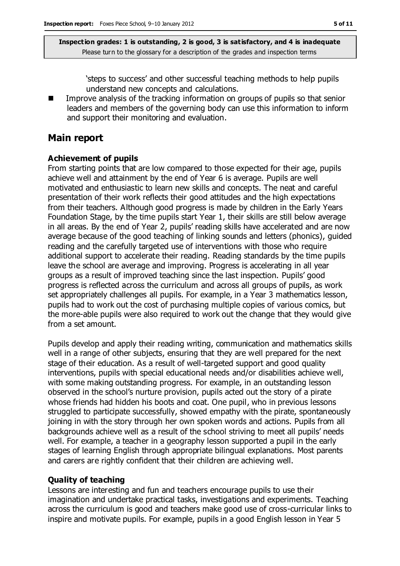'steps to success' and other successful teaching methods to help pupils understand new concepts and calculations.

 Improve analysis of the tracking information on groups of pupils so that senior leaders and members of the governing body can use this information to inform and support their monitoring and evaluation.

### **Main report**

#### **Achievement of pupils**

From starting points that are low compared to those expected for their age, pupils achieve well and attainment by the end of Year 6 is average. Pupils are well motivated and enthusiastic to learn new skills and concepts. The neat and careful presentation of their work reflects their good attitudes and the high expectations from their teachers. Although good progress is made by children in the Early Years Foundation Stage, by the time pupils start Year 1, their skills are still below average in all areas. By the end of Year 2, pupils' reading skills have accelerated and are now average because of the good teaching of linking sounds and letters (phonics), guided reading and the carefully targeted use of interventions with those who require additional support to accelerate their reading. Reading standards by the time pupils leave the school are average and improving. Progress is accelerating in all year groups as a result of improved teaching since the last inspection. Pupils' good progress is reflected across the curriculum and across all groups of pupils, as work set appropriately challenges all pupils. For example, in a Year 3 mathematics lesson, pupils had to work out the cost of purchasing multiple copies of various comics, but the more-able pupils were also required to work out the change that they would give from a set amount.

Pupils develop and apply their reading writing, communication and mathematics skills well in a range of other subjects, ensuring that they are well prepared for the next stage of their education. As a result of well-targeted support and good quality interventions, pupils with special educational needs and/or disabilities achieve well, with some making outstanding progress. For example, in an outstanding lesson observed in the school's nurture provision, pupils acted out the story of a pirate whose friends had hidden his boots and coat. One pupil, who in previous lessons struggled to participate successfully, showed empathy with the pirate, spontaneously joining in with the story through her own spoken words and actions. Pupils from all backgrounds achieve well as a result of the school striving to meet all pupils' needs well. For example, a teacher in a geography lesson supported a pupil in the early stages of learning English through appropriate bilingual explanations. Most parents and carers are rightly confident that their children are achieving well.

#### **Quality of teaching**

Lessons are interesting and fun and teachers encourage pupils to use their imagination and undertake practical tasks, investigations and experiments. Teaching across the curriculum is good and teachers make good use of cross-curricular links to inspire and motivate pupils. For example, pupils in a good English lesson in Year 5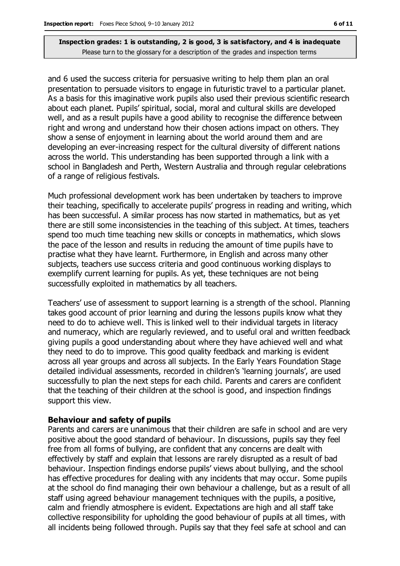and 6 used the success criteria for persuasive writing to help them plan an oral presentation to persuade visitors to engage in futuristic travel to a particular planet. As a basis for this imaginative work pupils also used their previous scientific research about each planet. Pupils' spiritual, social, moral and cultural skills are developed well, and as a result pupils have a good ability to recognise the difference between right and wrong and understand how their chosen actions impact on others. They show a sense of enjoyment in learning about the world around them and are developing an ever-increasing respect for the cultural diversity of different nations across the world. This understanding has been supported through a link with a school in Bangladesh and Perth, Western Australia and through regular celebrations of a range of religious festivals.

Much professional development work has been undertaken by teachers to improve their teaching, specifically to accelerate pupils' progress in reading and writing, which has been successful. A similar process has now started in mathematics, but as yet there are still some inconsistencies in the teaching of this subject. At times, teachers spend too much time teaching new skills or concepts in mathematics, which slows the pace of the lesson and results in reducing the amount of time pupils have to practise what they have learnt. Furthermore, in English and across many other subjects, teachers use success criteria and good continuous working displays to exemplify current learning for pupils. As yet, these techniques are not being successfully exploited in mathematics by all teachers.

Teachers' use of assessment to support learning is a strength of the school. Planning takes good account of prior learning and during the lessons pupils know what they need to do to achieve well. This is linked well to their individual targets in literacy and numeracy, which are regularly reviewed, and to useful oral and written feedback giving pupils a good understanding about where they have achieved well and what they need to do to improve. This good quality feedback and marking is evident across all year groups and across all subjects. In the Early Years Foundation Stage detailed individual assessments, recorded in children's 'learning journals', are used successfully to plan the next steps for each child. Parents and carers are confident that the teaching of their children at the school is good, and inspection findings support this view.

#### **Behaviour and safety of pupils**

Parents and carers are unanimous that their children are safe in school and are very positive about the good standard of behaviour. In discussions, pupils say they feel free from all forms of bullying, are confident that any concerns are dealt with effectively by staff and explain that lessons are rarely disrupted as a result of bad behaviour. Inspection findings endorse pupils' views about bullying, and the school has effective procedures for dealing with any incidents that may occur. Some pupils at the school do find managing their own behaviour a challenge, but as a result of all staff using agreed behaviour management techniques with the pupils, a positive, calm and friendly atmosphere is evident. Expectations are high and all staff take collective responsibility for upholding the good behaviour of pupils at all times, with all incidents being followed through. Pupils say that they feel safe at school and can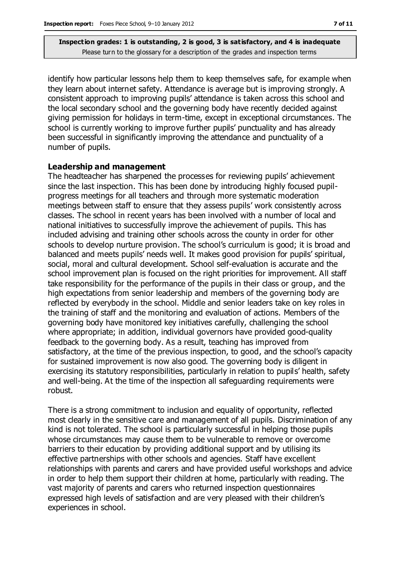identify how particular lessons help them to keep themselves safe, for example when they learn about internet safety. Attendance is average but is improving strongly. A consistent approach to improving pupils' attendance is taken across this school and the local secondary school and the governing body have recently decided against giving permission for holidays in term-time, except in exceptional circumstances. The school is currently working to improve further pupils' punctuality and has already been successful in significantly improving the attendance and punctuality of a number of pupils.

#### **Leadership and management**

The headteacher has sharpened the processes for reviewing pupils' achievement since the last inspection. This has been done by introducing highly focused pupilprogress meetings for all teachers and through more systematic moderation meetings between staff to ensure that they assess pupils' work consistently across classes. The school in recent years has been involved with a number of local and national initiatives to successfully improve the achievement of pupils. This has included advising and training other schools across the county in order for other schools to develop nurture provision. The school's curriculum is good; it is broad and balanced and meets pupils' needs well. It makes good provision for pupils' spiritual, social, moral and cultural development. School self-evaluation is accurate and the school improvement plan is focused on the right priorities for improvement. All staff take responsibility for the performance of the pupils in their class or group, and the high expectations from senior leadership and members of the governing body are reflected by everybody in the school. Middle and senior leaders take on key roles in the training of staff and the monitoring and evaluation of actions. Members of the governing body have monitored key initiatives carefully, challenging the school where appropriate; in addition, individual governors have provided good-quality feedback to the governing body. As a result, teaching has improved from satisfactory, at the time of the previous inspection, to good, and the school's capacity for sustained improvement is now also good. The governing body is diligent in exercising its statutory responsibilities, particularly in relation to pupils' health, safety and well-being. At the time of the inspection all safeguarding requirements were robust.

There is a strong commitment to inclusion and equality of opportunity, reflected most clearly in the sensitive care and management of all pupils. Discrimination of any kind is not tolerated. The school is particularly successful in helping those pupils whose circumstances may cause them to be vulnerable to remove or overcome barriers to their education by providing additional support and by utilising its effective partnerships with other schools and agencies. Staff have excellent relationships with parents and carers and have provided useful workshops and advice in order to help them support their children at home, particularly with reading. The vast majority of parents and carers who returned inspection questionnaires expressed high levels of satisfaction and are very pleased with their children's experiences in school.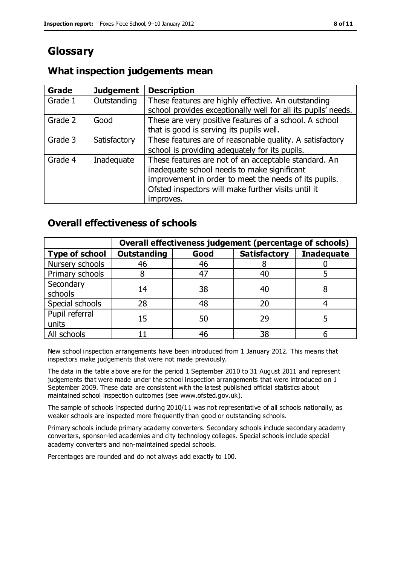# **Glossary**

### **What inspection judgements mean**

| Grade   | <b>Judgement</b> | <b>Description</b>                                            |
|---------|------------------|---------------------------------------------------------------|
| Grade 1 | Outstanding      | These features are highly effective. An outstanding           |
|         |                  | school provides exceptionally well for all its pupils' needs. |
| Grade 2 | Good             | These are very positive features of a school. A school        |
|         |                  | that is good is serving its pupils well.                      |
| Grade 3 | Satisfactory     | These features are of reasonable quality. A satisfactory      |
|         |                  | school is providing adequately for its pupils.                |
| Grade 4 | Inadequate       | These features are not of an acceptable standard. An          |
|         |                  | inadequate school needs to make significant                   |
|         |                  | improvement in order to meet the needs of its pupils.         |
|         |                  | Ofsted inspectors will make further visits until it           |
|         |                  | improves.                                                     |

### **Overall effectiveness of schools**

|                         | Overall effectiveness judgement (percentage of schools) |      |                     |                   |
|-------------------------|---------------------------------------------------------|------|---------------------|-------------------|
| <b>Type of school</b>   | <b>Outstanding</b>                                      | Good | <b>Satisfactory</b> | <b>Inadequate</b> |
| Nursery schools         | 46                                                      | 46   |                     |                   |
| Primary schools         |                                                         | 47   | 40                  |                   |
| Secondary<br>schools    | 14                                                      | 38   | 40                  |                   |
| Special schools         | 28                                                      | 48   | 20                  |                   |
| Pupil referral<br>units | 15                                                      | 50   | 29                  |                   |
| All schools             |                                                         | 46   | 38                  |                   |

New school inspection arrangements have been introduced from 1 January 2012. This means that inspectors make judgements that were not made previously.

The data in the table above are for the period 1 September 2010 to 31 August 2011 and represent judgements that were made under the school inspection arrangements that were introduced on 1 September 2009. These data are consistent with the latest published official statistics about maintained school inspection outcomes (see www.ofsted.gov.uk).

The sample of schools inspected during 2010/11 was not representative of all schools nationally, as weaker schools are inspected more frequently than good or outstanding schools.

Primary schools include primary academy converters. Secondary schools include secondary academy converters, sponsor-led academies and city technology colleges. Special schools include special academy converters and non-maintained special schools.

Percentages are rounded and do not always add exactly to 100.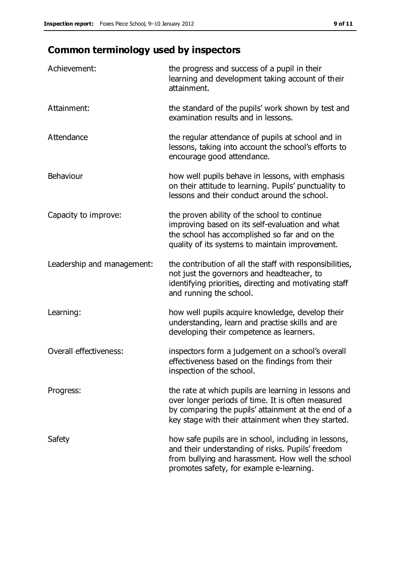# **Common terminology used by inspectors**

| Achievement:                  | the progress and success of a pupil in their<br>learning and development taking account of their<br>attainment.                                                                                                        |
|-------------------------------|------------------------------------------------------------------------------------------------------------------------------------------------------------------------------------------------------------------------|
| Attainment:                   | the standard of the pupils' work shown by test and<br>examination results and in lessons.                                                                                                                              |
| Attendance                    | the regular attendance of pupils at school and in<br>lessons, taking into account the school's efforts to<br>encourage good attendance.                                                                                |
| Behaviour                     | how well pupils behave in lessons, with emphasis<br>on their attitude to learning. Pupils' punctuality to<br>lessons and their conduct around the school.                                                              |
| Capacity to improve:          | the proven ability of the school to continue<br>improving based on its self-evaluation and what<br>the school has accomplished so far and on the<br>quality of its systems to maintain improvement.                    |
| Leadership and management:    | the contribution of all the staff with responsibilities,<br>not just the governors and headteacher, to<br>identifying priorities, directing and motivating staff<br>and running the school.                            |
| Learning:                     | how well pupils acquire knowledge, develop their<br>understanding, learn and practise skills and are<br>developing their competence as learners.                                                                       |
| <b>Overall effectiveness:</b> | inspectors form a judgement on a school's overall<br>effectiveness based on the findings from their<br>inspection of the school.                                                                                       |
| Progress:                     | the rate at which pupils are learning in lessons and<br>over longer periods of time. It is often measured<br>by comparing the pupils' attainment at the end of a<br>key stage with their attainment when they started. |
| Safety                        | how safe pupils are in school, including in lessons,<br>and their understanding of risks. Pupils' freedom<br>from bullying and harassment. How well the school<br>promotes safety, for example e-learning.             |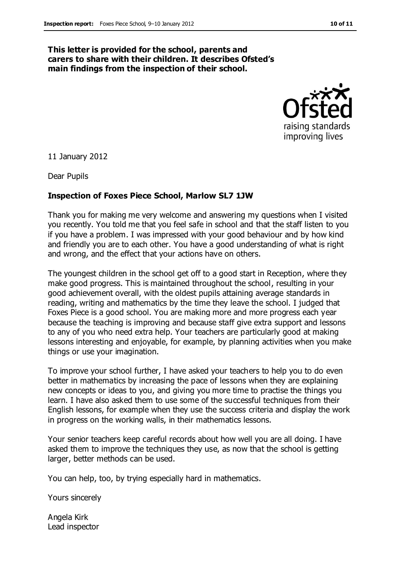#### **This letter is provided for the school, parents and carers to share with their children. It describes Ofsted's main findings from the inspection of their school.**



11 January 2012

Dear Pupils

#### **Inspection of Foxes Piece School, Marlow SL7 1JW**

Thank you for making me very welcome and answering my questions when I visited you recently. You told me that you feel safe in school and that the staff listen to you if you have a problem. I was impressed with your good behaviour and by how kind and friendly you are to each other. You have a good understanding of what is right and wrong, and the effect that your actions have on others.

The youngest children in the school get off to a good start in Reception, where they make good progress. This is maintained throughout the school, resulting in your good achievement overall, with the oldest pupils attaining average standards in reading, writing and mathematics by the time they leave the school. I judged that Foxes Piece is a good school. You are making more and more progress each year because the teaching is improving and because staff give extra support and lessons to any of you who need extra help. Your teachers are particularly good at making lessons interesting and enjoyable, for example, by planning activities when you make things or use your imagination.

To improve your school further, I have asked your teachers to help you to do even better in mathematics by increasing the pace of lessons when they are explaining new concepts or ideas to you, and giving you more time to practise the things you learn. I have also asked them to use some of the successful techniques from their English lessons, for example when they use the success criteria and display the work in progress on the working walls, in their mathematics lessons.

Your senior teachers keep careful records about how well you are all doing. I have asked them to improve the techniques they use, as now that the school is getting larger, better methods can be used.

You can help, too, by trying especially hard in mathematics.

Yours sincerely

Angela Kirk Lead inspector